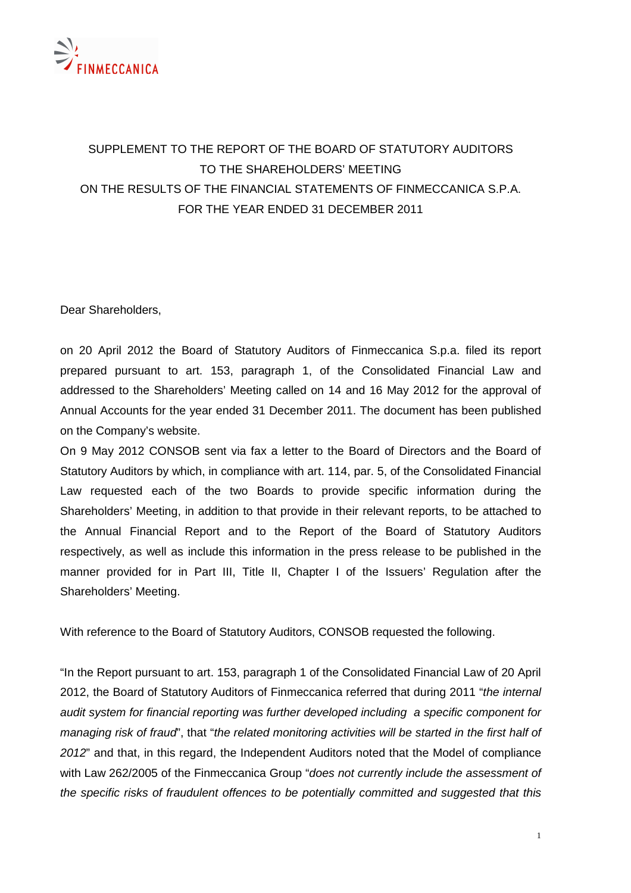

## SUPPLEMENT TO THE REPORT OF THE BOARD OF STATUTORY AUDITORS TO THE SHAREHOLDERS' MEETING ON THE RESULTS OF THE FINANCIAL STATEMENTS OF FINMECCANICA S.P.A. FOR THE YEAR ENDED 31 DECEMBER 2011

Dear Shareholders,

on 20 April 2012 the Board of Statutory Auditors of Finmeccanica S.p.a. filed its report prepared pursuant to art. 153, paragraph 1, of the Consolidated Financial Law and addressed to the Shareholders' Meeting called on 14 and 16 May 2012 for the approval of Annual Accounts for the year ended 31 December 2011. The document has been published on the Company's website.

On 9 May 2012 CONSOB sent via fax a letter to the Board of Directors and the Board of Statutory Auditors by which, in compliance with art. 114, par. 5, of the Consolidated Financial Law requested each of the two Boards to provide specific information during the Shareholders' Meeting, in addition to that provide in their relevant reports, to be attached to the Annual Financial Report and to the Report of the Board of Statutory Auditors respectively, as well as include this information in the press release to be published in the manner provided for in Part III, Title II, Chapter I of the Issuers' Regulation after the Shareholders' Meeting.

With reference to the Board of Statutory Auditors, CONSOB requested the following.

"In the Report pursuant to art. 153, paragraph 1 of the Consolidated Financial Law of 20 April 2012, the Board of Statutory Auditors of Finmeccanica referred that during 2011 "the internal audit system for financial reporting was further developed including a specific component for managing risk of fraud", that "the related monitoring activities will be started in the first half of 2012" and that, in this regard, the Independent Auditors noted that the Model of compliance with Law 262/2005 of the Finmeccanica Group "does not currently include the assessment of the specific risks of fraudulent offences to be potentially committed and suggested that this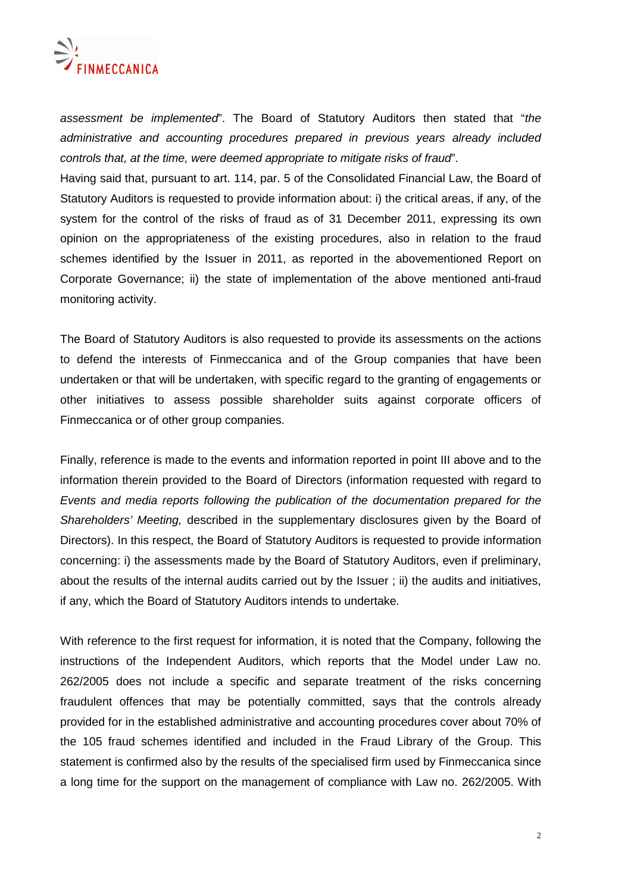

assessment be implemented". The Board of Statutory Auditors then stated that "the administrative and accounting procedures prepared in previous years already included controls that, at the time, were deemed appropriate to mitigate risks of fraud".

Having said that, pursuant to art. 114, par. 5 of the Consolidated Financial Law, the Board of Statutory Auditors is requested to provide information about: i) the critical areas, if any, of the system for the control of the risks of fraud as of 31 December 2011, expressing its own opinion on the appropriateness of the existing procedures, also in relation to the fraud schemes identified by the Issuer in 2011, as reported in the abovementioned Report on Corporate Governance; ii) the state of implementation of the above mentioned anti-fraud monitoring activity.

The Board of Statutory Auditors is also requested to provide its assessments on the actions to defend the interests of Finmeccanica and of the Group companies that have been undertaken or that will be undertaken, with specific regard to the granting of engagements or other initiatives to assess possible shareholder suits against corporate officers of Finmeccanica or of other group companies.

Finally, reference is made to the events and information reported in point III above and to the information therein provided to the Board of Directors (information requested with regard to Events and media reports following the publication of the documentation prepared for the Shareholders' Meeting, described in the supplementary disclosures given by the Board of Directors). In this respect, the Board of Statutory Auditors is requested to provide information concerning: i) the assessments made by the Board of Statutory Auditors, even if preliminary, about the results of the internal audits carried out by the Issuer ; ii) the audits and initiatives, if any, which the Board of Statutory Auditors intends to undertake.

With reference to the first request for information, it is noted that the Company, following the instructions of the Independent Auditors, which reports that the Model under Law no. 262/2005 does not include a specific and separate treatment of the risks concerning fraudulent offences that may be potentially committed, says that the controls already provided for in the established administrative and accounting procedures cover about 70% of the 105 fraud schemes identified and included in the Fraud Library of the Group. This statement is confirmed also by the results of the specialised firm used by Finmeccanica since a long time for the support on the management of compliance with Law no. 262/2005. With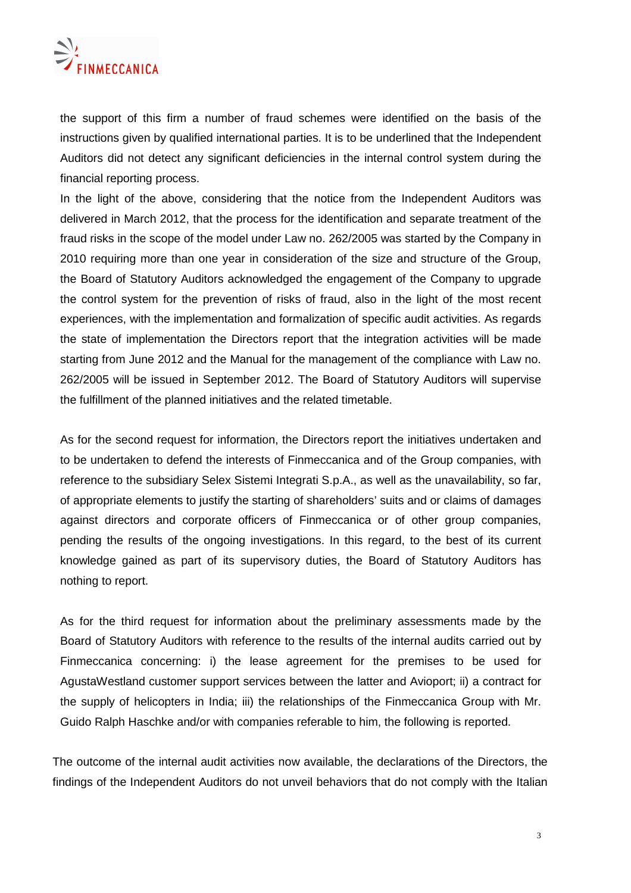

the support of this firm a number of fraud schemes were identified on the basis of the instructions given by qualified international parties. It is to be underlined that the Independent Auditors did not detect any significant deficiencies in the internal control system during the financial reporting process.

In the light of the above, considering that the notice from the Independent Auditors was delivered in March 2012, that the process for the identification and separate treatment of the fraud risks in the scope of the model under Law no. 262/2005 was started by the Company in 2010 requiring more than one year in consideration of the size and structure of the Group, the Board of Statutory Auditors acknowledged the engagement of the Company to upgrade the control system for the prevention of risks of fraud, also in the light of the most recent experiences, with the implementation and formalization of specific audit activities. As regards the state of implementation the Directors report that the integration activities will be made starting from June 2012 and the Manual for the management of the compliance with Law no. 262/2005 will be issued in September 2012. The Board of Statutory Auditors will supervise the fulfillment of the planned initiatives and the related timetable.

As for the second request for information, the Directors report the initiatives undertaken and to be undertaken to defend the interests of Finmeccanica and of the Group companies, with reference to the subsidiary Selex Sistemi Integrati S.p.A., as well as the unavailability, so far, of appropriate elements to justify the starting of shareholders' suits and or claims of damages against directors and corporate officers of Finmeccanica or of other group companies, pending the results of the ongoing investigations. In this regard, to the best of its current knowledge gained as part of its supervisory duties, the Board of Statutory Auditors has nothing to report.

As for the third request for information about the preliminary assessments made by the Board of Statutory Auditors with reference to the results of the internal audits carried out by Finmeccanica concerning: i) the lease agreement for the premises to be used for AgustaWestland customer support services between the latter and Avioport; ii) a contract for the supply of helicopters in India; iii) the relationships of the Finmeccanica Group with Mr. Guido Ralph Haschke and/or with companies referable to him, the following is reported.

The outcome of the internal audit activities now available, the declarations of the Directors, the findings of the Independent Auditors do not unveil behaviors that do not comply with the Italian